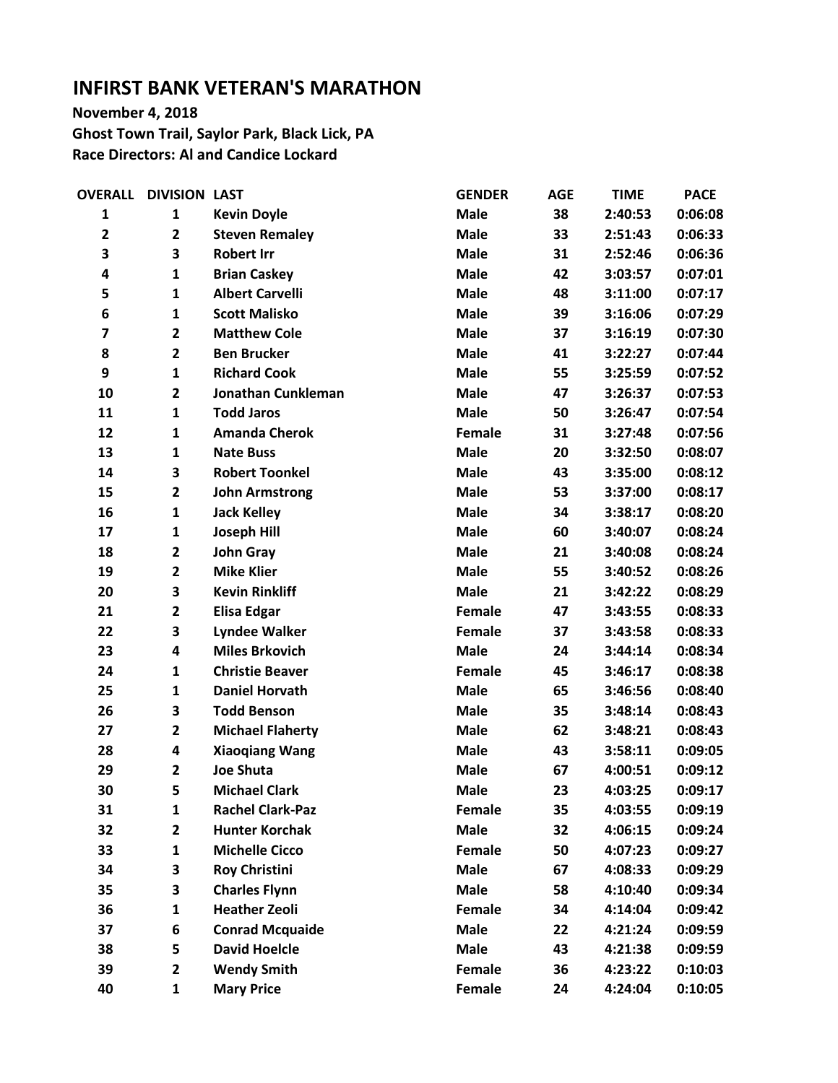## **INFIRST BANK VETERAN'S MARATHON**

**November 4, 2018 Ghost Town Trail, Saylor Park, Black Lick, PA Race Directors: Al and Candice Lockard**

| <b>OVERALL</b>          | <b>DIVISION LAST</b>    |                         | <b>GENDER</b> | <b>AGE</b> | <b>TIME</b> | <b>PACE</b> |
|-------------------------|-------------------------|-------------------------|---------------|------------|-------------|-------------|
| 1                       | 1                       | <b>Kevin Doyle</b>      | <b>Male</b>   | 38         | 2:40:53     | 0:06:08     |
| $\mathbf{2}$            | $\overline{\mathbf{2}}$ | <b>Steven Remaley</b>   | <b>Male</b>   | 33         | 2:51:43     | 0:06:33     |
| 3                       | 3                       | <b>Robert Irr</b>       | <b>Male</b>   | 31         | 2:52:46     | 0:06:36     |
| 4                       | $\mathbf{1}$            | <b>Brian Caskey</b>     | <b>Male</b>   | 42         | 3:03:57     | 0:07:01     |
| 5                       | $\mathbf{1}$            | <b>Albert Carvelli</b>  | <b>Male</b>   | 48         | 3:11:00     | 0:07:17     |
| 6                       | $\mathbf{1}$            | <b>Scott Malisko</b>    | <b>Male</b>   | 39         | 3:16:06     | 0:07:29     |
| $\overline{\mathbf{z}}$ | $\overline{\mathbf{2}}$ | <b>Matthew Cole</b>     | <b>Male</b>   | 37         | 3:16:19     | 0:07:30     |
| 8                       | $\overline{\mathbf{2}}$ | <b>Ben Brucker</b>      | <b>Male</b>   | 41         | 3:22:27     | 0:07:44     |
| 9                       | $\mathbf{1}$            | <b>Richard Cook</b>     | <b>Male</b>   | 55         | 3:25:59     | 0:07:52     |
| 10                      | $\overline{\mathbf{2}}$ | Jonathan Cunkleman      | <b>Male</b>   | 47         | 3:26:37     | 0:07:53     |
| 11                      | $\mathbf{1}$            | <b>Todd Jaros</b>       | <b>Male</b>   | 50         | 3:26:47     | 0:07:54     |
| 12                      | $\mathbf{1}$            | <b>Amanda Cherok</b>    | Female        | 31         | 3:27:48     | 0:07:56     |
| 13                      | $\mathbf{1}$            | <b>Nate Buss</b>        | <b>Male</b>   | 20         | 3:32:50     | 0:08:07     |
| 14                      | 3                       | <b>Robert Toonkel</b>   | <b>Male</b>   | 43         | 3:35:00     | 0:08:12     |
| 15                      | $\overline{\mathbf{2}}$ | <b>John Armstrong</b>   | <b>Male</b>   | 53         | 3:37:00     | 0:08:17     |
| 16                      | $\mathbf{1}$            | <b>Jack Kelley</b>      | <b>Male</b>   | 34         | 3:38:17     | 0:08:20     |
| 17                      | $\mathbf{1}$            | <b>Joseph Hill</b>      | <b>Male</b>   | 60         | 3:40:07     | 0:08:24     |
| 18                      | $\mathbf{2}$            | <b>John Gray</b>        | <b>Male</b>   | 21         | 3:40:08     | 0:08:24     |
| 19                      | $\overline{\mathbf{2}}$ | <b>Mike Klier</b>       | <b>Male</b>   | 55         | 3:40:52     | 0:08:26     |
| 20                      | 3                       | <b>Kevin Rinkliff</b>   | <b>Male</b>   | 21         | 3:42:22     | 0:08:29     |
| 21                      | $\mathbf{2}$            | <b>Elisa Edgar</b>      | Female        | 47         | 3:43:55     | 0:08:33     |
| 22                      | 3                       | <b>Lyndee Walker</b>    | Female        | 37         | 3:43:58     | 0:08:33     |
| 23                      | 4                       | <b>Miles Brkovich</b>   | <b>Male</b>   | 24         | 3:44:14     | 0:08:34     |
| 24                      | $\mathbf{1}$            | <b>Christie Beaver</b>  | Female        | 45         | 3:46:17     | 0:08:38     |
| 25                      | $\mathbf{1}$            | <b>Daniel Horvath</b>   | <b>Male</b>   | 65         | 3:46:56     | 0:08:40     |
| 26                      | 3                       | <b>Todd Benson</b>      | <b>Male</b>   | 35         | 3:48:14     | 0:08:43     |
| 27                      | $\overline{\mathbf{2}}$ | <b>Michael Flaherty</b> | <b>Male</b>   | 62         | 3:48:21     | 0:08:43     |
| 28                      | 4                       | <b>Xiaoqiang Wang</b>   | <b>Male</b>   | 43         | 3:58:11     | 0:09:05     |
| 29                      | $\overline{\mathbf{2}}$ | <b>Joe Shuta</b>        | <b>Male</b>   | 67         | 4:00:51     | 0:09:12     |
| 30                      | 5                       | <b>Michael Clark</b>    | <b>Male</b>   | 23         | 4:03:25     | 0:09:17     |
| 31                      | $\mathbf{1}$            | <b>Rachel Clark-Paz</b> | Female        | 35         | 4:03:55     | 0:09:19     |
| 32                      | $\mathbf{2}$            | <b>Hunter Korchak</b>   | <b>Male</b>   | 32         | 4:06:15     | 0:09:24     |
| 33                      | $\mathbf{1}$            | <b>Michelle Cicco</b>   | <b>Female</b> | 50         | 4:07:23     | 0:09:27     |
| 34                      | 3                       | <b>Roy Christini</b>    | <b>Male</b>   | 67         | 4:08:33     | 0:09:29     |
| 35                      | 3                       | <b>Charles Flynn</b>    | <b>Male</b>   | 58         | 4:10:40     | 0:09:34     |
| 36                      | $\mathbf{1}$            | <b>Heather Zeoli</b>    | Female        | 34         | 4:14:04     | 0:09:42     |
| 37                      | 6                       | <b>Conrad Mcquaide</b>  | <b>Male</b>   | 22         | 4:21:24     | 0:09:59     |
| 38                      | 5                       | <b>David Hoelcle</b>    | <b>Male</b>   | 43         | 4:21:38     | 0:09:59     |
| 39                      | $\overline{2}$          | <b>Wendy Smith</b>      | <b>Female</b> | 36         | 4:23:22     | 0:10:03     |
| 40                      | $\mathbf{1}$            | <b>Mary Price</b>       | Female        | 24         | 4:24:04     | 0:10:05     |
|                         |                         |                         |               |            |             |             |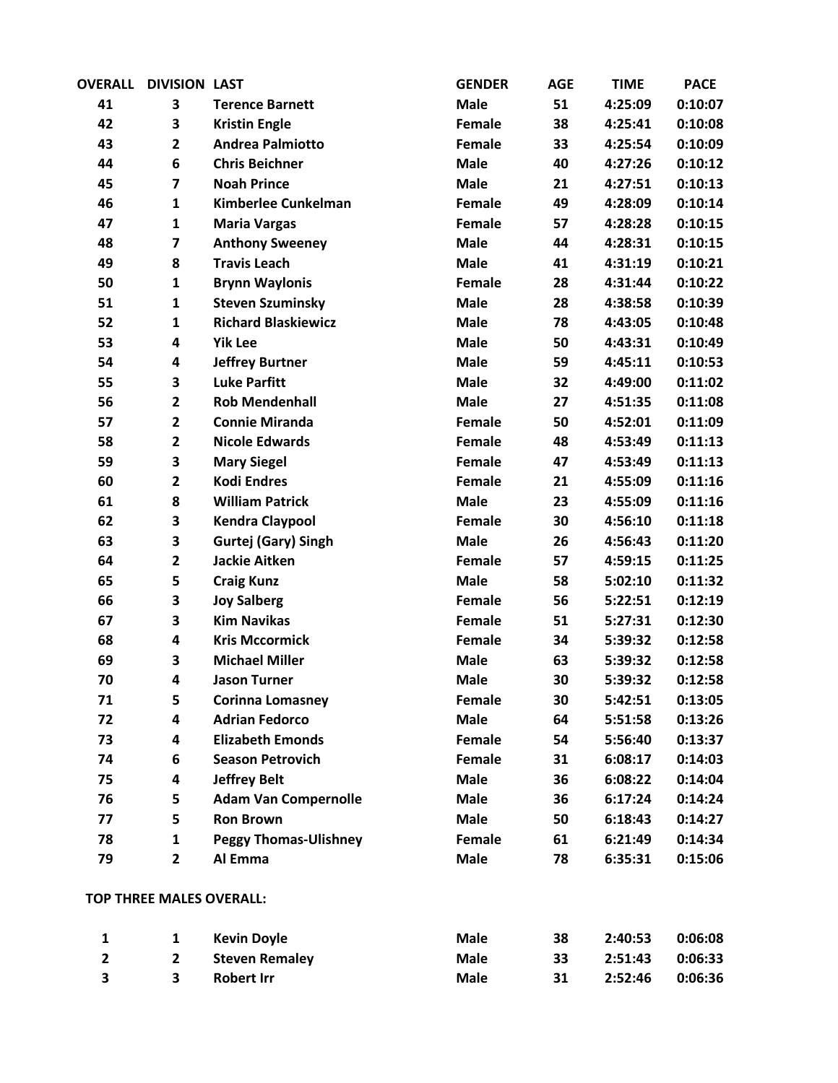| <b>OVERALL</b> | <b>DIVISION LAST</b>    |                              | <b>GENDER</b> | <b>AGE</b> | <b>TIME</b> | <b>PACE</b> |
|----------------|-------------------------|------------------------------|---------------|------------|-------------|-------------|
| 41             | 3                       | <b>Terence Barnett</b>       | <b>Male</b>   | 51         | 4:25:09     | 0:10:07     |
| 42             | 3                       | <b>Kristin Engle</b>         | Female        | 38         | 4:25:41     | 0:10:08     |
| 43             | $\overline{\mathbf{2}}$ | <b>Andrea Palmiotto</b>      | Female        | 33         | 4:25:54     | 0:10:09     |
| 44             | 6                       | <b>Chris Beichner</b>        | <b>Male</b>   | 40         | 4:27:26     | 0:10:12     |
| 45             | $\overline{\mathbf{z}}$ | <b>Noah Prince</b>           | <b>Male</b>   | 21         | 4:27:51     | 0:10:13     |
| 46             | $\mathbf{1}$            | Kimberlee Cunkelman          | Female        | 49         | 4:28:09     | 0:10:14     |
| 47             | $\mathbf{1}$            | <b>Maria Vargas</b>          | Female        | 57         | 4:28:28     | 0:10:15     |
| 48             | $\overline{\mathbf{z}}$ | <b>Anthony Sweeney</b>       | <b>Male</b>   | 44         | 4:28:31     | 0:10:15     |
| 49             | 8                       | <b>Travis Leach</b>          | <b>Male</b>   | 41         | 4:31:19     | 0:10:21     |
| 50             | $\mathbf{1}$            | <b>Brynn Waylonis</b>        | Female        | 28         | 4:31:44     | 0:10:22     |
| 51             | $\mathbf{1}$            | <b>Steven Szuminsky</b>      | <b>Male</b>   | 28         | 4:38:58     | 0:10:39     |
| 52             | $\mathbf{1}$            | <b>Richard Blaskiewicz</b>   | <b>Male</b>   | 78         | 4:43:05     | 0:10:48     |
| 53             | 4                       | <b>Yik Lee</b>               | <b>Male</b>   | 50         | 4:43:31     | 0:10:49     |
| 54             | 4                       | <b>Jeffrey Burtner</b>       | <b>Male</b>   | 59         | 4:45:11     | 0:10:53     |
| 55             | 3                       | <b>Luke Parfitt</b>          | <b>Male</b>   | 32         | 4:49:00     | 0:11:02     |
| 56             | $\overline{\mathbf{2}}$ | <b>Rob Mendenhall</b>        | <b>Male</b>   | 27         | 4:51:35     | 0:11:08     |
| 57             | $\overline{\mathbf{2}}$ | <b>Connie Miranda</b>        | Female        | 50         | 4:52:01     | 0:11:09     |
| 58             | $\overline{\mathbf{2}}$ | <b>Nicole Edwards</b>        | Female        | 48         | 4:53:49     | 0:11:13     |
| 59             | 3                       | <b>Mary Siegel</b>           | Female        | 47         | 4:53:49     | 0:11:13     |
| 60             | $\overline{\mathbf{2}}$ | <b>Kodi Endres</b>           | Female        | 21         | 4:55:09     | 0:11:16     |
| 61             | 8                       | <b>William Patrick</b>       | <b>Male</b>   | 23         | 4:55:09     | 0:11:16     |
| 62             | 3                       | <b>Kendra Claypool</b>       | Female        | 30         | 4:56:10     | 0:11:18     |
| 63             | 3                       | Gurtej (Gary) Singh          | <b>Male</b>   | 26         | 4:56:43     | 0:11:20     |
| 64             | $\mathbf{2}$            | <b>Jackie Aitken</b>         | Female        | 57         | 4:59:15     | 0:11:25     |
| 65             | 5                       | <b>Craig Kunz</b>            | <b>Male</b>   | 58         | 5:02:10     | 0:11:32     |
| 66             | 3                       | <b>Joy Salberg</b>           | Female        | 56         | 5:22:51     | 0:12:19     |
| 67             | 3                       | <b>Kim Navikas</b>           | Female        | 51         | 5:27:31     | 0:12:30     |
| 68             | 4                       | <b>Kris Mccormick</b>        | Female        | 34         | 5:39:32     | 0:12:58     |
| 69             | 3                       | <b>Michael Miller</b>        | <b>Male</b>   | 63         | 5:39:32     | 0:12:58     |
| 70             | 4                       | <b>Jason Turner</b>          | <b>Male</b>   | 30         | 5:39:32     | 0:12:58     |
| 71             | 5                       | <b>Corinna Lomasney</b>      | Female        | 30         | 5:42:51     | 0:13:05     |
| 72             | 4                       | <b>Adrian Fedorco</b>        | <b>Male</b>   | 64         | 5:51:58     | 0:13:26     |
| 73             | 4                       | <b>Elizabeth Emonds</b>      | Female        | 54         | 5:56:40     | 0:13:37     |
| 74             | 6                       | <b>Season Petrovich</b>      | Female        | 31         | 6:08:17     | 0:14:03     |
| 75             | 4                       | <b>Jeffrey Belt</b>          | <b>Male</b>   | 36         | 6:08:22     | 0:14:04     |
| 76             | 5                       | <b>Adam Van Compernolle</b>  | <b>Male</b>   | 36         | 6:17:24     | 0:14:24     |
| 77             | 5                       | <b>Ron Brown</b>             | <b>Male</b>   | 50         | 6:18:43     | 0:14:27     |
| 78             | $\mathbf{1}$            | <b>Peggy Thomas-Ulishney</b> | Female        | 61         | 6:21:49     | 0:14:34     |
| 79             | $\mathbf 2$             | Al Emma                      | <b>Male</b>   | 78         | 6:35:31     | 0:15:06     |
|                |                         |                              |               |            |             |             |

## **TOP THREE MALES OVERALL:**

|                         | 1 Kevin Doyle    | Male        | 38 | 2:40:53 0:06:08 |  |
|-------------------------|------------------|-------------|----|-----------------|--|
|                         | 2 Steven Remaley | <b>Male</b> | 33 | 2:51:43 0:06:33 |  |
| $\overline{\mathbf{3}}$ | Robert Irr       | Male        | 31 | 2:52:46 0:06:36 |  |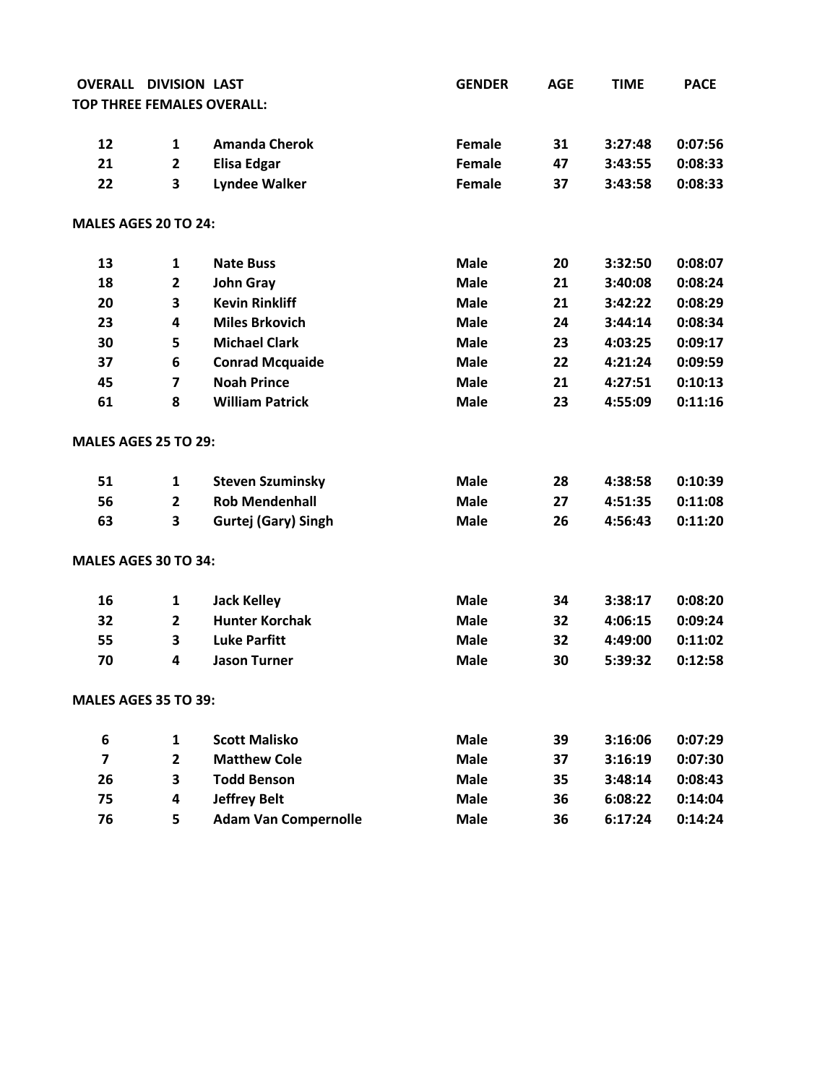| <b>OVERALL</b>          | <b>DIVISION LAST</b>    |                                   | <b>GENDER</b> | <b>AGE</b> | <b>TIME</b> | <b>PACE</b> |
|-------------------------|-------------------------|-----------------------------------|---------------|------------|-------------|-------------|
|                         |                         | <b>TOP THREE FEMALES OVERALL:</b> |               |            |             |             |
| 12                      | 1                       | <b>Amanda Cherok</b>              | <b>Female</b> | 31         | 3:27:48     | 0:07:56     |
| 21                      | $\overline{\mathbf{2}}$ | <b>Elisa Edgar</b>                | Female        | 47         | 3:43:55     | 0:08:33     |
| 22                      | 3                       | <b>Lyndee Walker</b>              | Female        | 37         | 3:43:58     | 0:08:33     |
| MALES AGES 20 TO 24:    |                         |                                   |               |            |             |             |
| 13                      | 1                       | <b>Nate Buss</b>                  | <b>Male</b>   | 20         | 3:32:50     | 0:08:07     |
| 18                      | $\overline{2}$          | <b>John Gray</b>                  | <b>Male</b>   | 21         | 3:40:08     | 0:08:24     |
| 20                      | 3                       | <b>Kevin Rinkliff</b>             | <b>Male</b>   | 21         | 3:42:22     | 0:08:29     |
| 23                      | 4                       | <b>Miles Brkovich</b>             | <b>Male</b>   | 24         | 3:44:14     | 0:08:34     |
| 30                      | 5                       | <b>Michael Clark</b>              | <b>Male</b>   | 23         | 4:03:25     | 0:09:17     |
| 37                      | 6                       | <b>Conrad Mcquaide</b>            | <b>Male</b>   | 22         | 4:21:24     | 0:09:59     |
| 45                      | $\overline{\mathbf{z}}$ | <b>Noah Prince</b>                | <b>Male</b>   | 21         | 4:27:51     | 0:10:13     |
| 61                      | 8                       | <b>William Patrick</b>            | <b>Male</b>   | 23         | 4:55:09     | 0:11:16     |
| MALES AGES 25 TO 29:    |                         |                                   |               |            |             |             |
| 51                      | 1                       | <b>Steven Szuminsky</b>           | <b>Male</b>   | 28         | 4:38:58     | 0:10:39     |
| 56                      | $\overline{2}$          | <b>Rob Mendenhall</b>             | <b>Male</b>   | 27         | 4:51:35     | 0:11:08     |
| 63                      | 3                       | Gurtej (Gary) Singh               | <b>Male</b>   | 26         | 4:56:43     | 0:11:20     |
| MALES AGES 30 TO 34:    |                         |                                   |               |            |             |             |
| 16                      | 1                       | <b>Jack Kelley</b>                | <b>Male</b>   | 34         | 3:38:17     | 0:08:20     |
| 32                      | $\mathbf{2}$            | <b>Hunter Korchak</b>             | <b>Male</b>   | 32         | 4:06:15     | 0:09:24     |
| 55                      | 3                       | <b>Luke Parfitt</b>               | <b>Male</b>   | 32         | 4:49:00     | 0:11:02     |
| 70                      | 4                       | <b>Jason Turner</b>               | <b>Male</b>   | 30         | 5:39:32     | 0:12:58     |
| MALES AGES 35 TO 39:    |                         |                                   |               |            |             |             |
| 6                       | $\mathbf{1}$            | <b>Scott Malisko</b>              | <b>Male</b>   | 39         | 3:16:06     | 0:07:29     |
| $\overline{\mathbf{z}}$ | $\mathbf{2}$            | <b>Matthew Cole</b>               | <b>Male</b>   | 37         | 3:16:19     | 0:07:30     |
| 26                      | 3                       | <b>Todd Benson</b>                | <b>Male</b>   | 35         | 3:48:14     | 0:08:43     |
| 75                      | 4                       | <b>Jeffrey Belt</b>               | <b>Male</b>   | 36         | 6:08:22     | 0:14:04     |
| 76                      | 5                       | <b>Adam Van Compernolle</b>       | <b>Male</b>   | 36         | 6:17:24     | 0:14:24     |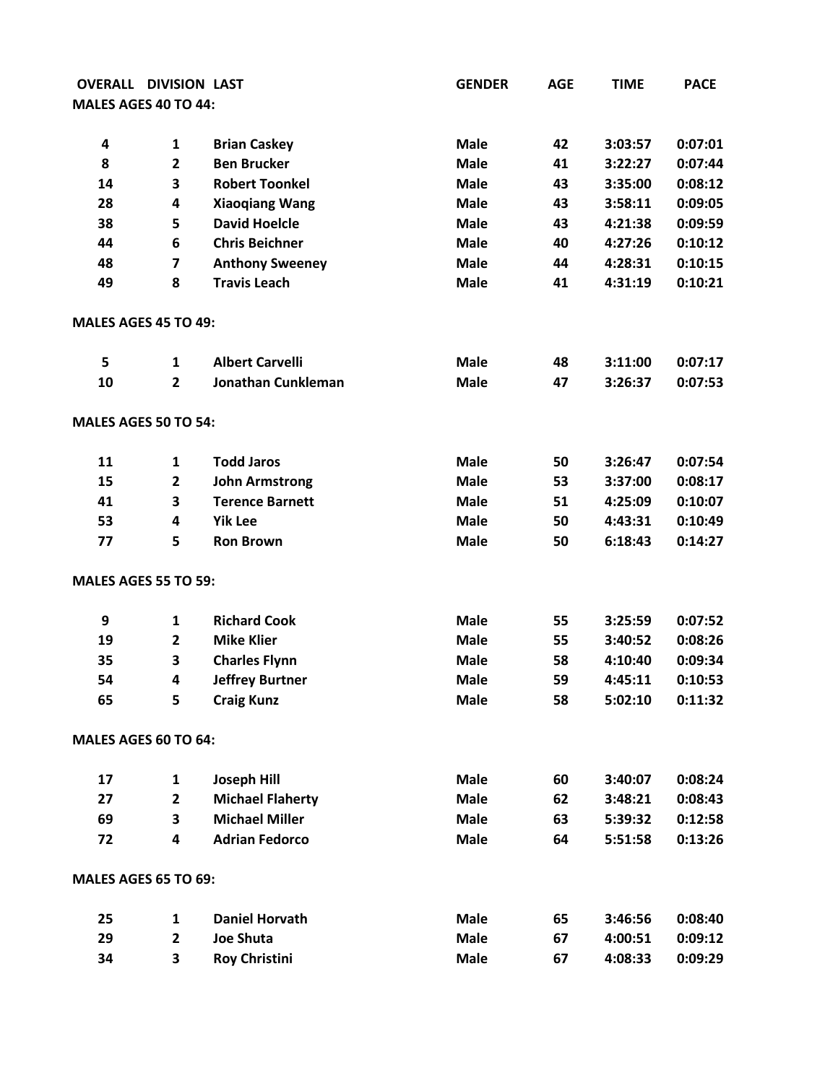| <b>OVERALL</b>       | <b>DIVISION LAST</b>    |                           | <b>GENDER</b> | <b>AGE</b> | <b>TIME</b> | <b>PACE</b> |
|----------------------|-------------------------|---------------------------|---------------|------------|-------------|-------------|
| MALES AGES 40 TO 44: |                         |                           |               |            |             |             |
|                      |                         |                           |               |            |             |             |
| 4                    | 1                       | <b>Brian Caskey</b>       | <b>Male</b>   | 42         | 3:03:57     | 0:07:01     |
| 8                    | $\overline{2}$          | <b>Ben Brucker</b>        | <b>Male</b>   | 41         | 3:22:27     | 0:07:44     |
| 14                   | 3                       | <b>Robert Toonkel</b>     | <b>Male</b>   | 43         | 3:35:00     | 0:08:12     |
| 28                   | 4                       | <b>Xiaoqiang Wang</b>     | <b>Male</b>   | 43         | 3:58:11     | 0:09:05     |
| 38                   | 5                       | <b>David Hoelcle</b>      | <b>Male</b>   | 43         | 4:21:38     | 0:09:59     |
| 44                   | 6                       | <b>Chris Beichner</b>     | <b>Male</b>   | 40         | 4:27:26     | 0:10:12     |
| 48                   | $\overline{\mathbf{z}}$ | <b>Anthony Sweeney</b>    | <b>Male</b>   | 44         | 4:28:31     | 0:10:15     |
| 49                   | 8                       | <b>Travis Leach</b>       | <b>Male</b>   | 41         | 4:31:19     | 0:10:21     |
| MALES AGES 45 TO 49: |                         |                           |               |            |             |             |
| 5                    | 1                       | <b>Albert Carvelli</b>    | <b>Male</b>   | 48         | 3:11:00     | 0:07:17     |
| 10                   | $\mathbf{2}$            | <b>Jonathan Cunkleman</b> | <b>Male</b>   | 47         | 3:26:37     | 0:07:53     |
| MALES AGES 50 TO 54: |                         |                           |               |            |             |             |
| 11                   | 1                       | <b>Todd Jaros</b>         | <b>Male</b>   | 50         | 3:26:47     | 0:07:54     |
| 15                   | $\mathbf{2}$            | <b>John Armstrong</b>     | <b>Male</b>   | 53         | 3:37:00     | 0:08:17     |
| 41                   | 3                       | <b>Terence Barnett</b>    | <b>Male</b>   | 51         | 4:25:09     | 0:10:07     |
| 53                   | 4                       | <b>Yik Lee</b>            | <b>Male</b>   | 50         | 4:43:31     | 0:10:49     |
| 77                   | 5                       | <b>Ron Brown</b>          | <b>Male</b>   | 50         | 6:18:43     | 0:14:27     |
| MALES AGES 55 TO 59: |                         |                           |               |            |             |             |
| 9                    | 1                       | <b>Richard Cook</b>       | <b>Male</b>   | 55         | 3:25:59     | 0:07:52     |
| 19                   | $\overline{2}$          | <b>Mike Klier</b>         | <b>Male</b>   | 55         | 3:40:52     | 0:08:26     |
| 35                   | 3                       | <b>Charles Flynn</b>      | <b>Male</b>   | 58         | 4:10:40     | 0:09:34     |
| 54                   | 4                       | <b>Jeffrey Burtner</b>    | <b>Male</b>   | 59         | 4:45:11     | 0:10:53     |
| 65                   | 5                       | <b>Craig Kunz</b>         | <b>Male</b>   | 58         | 5:02:10     | 0:11:32     |
| MALES AGES 60 TO 64: |                         |                           |               |            |             |             |
| 17                   | 1                       | <b>Joseph Hill</b>        | <b>Male</b>   | 60         | 3:40:07     | 0:08:24     |
| 27                   | $\overline{\mathbf{2}}$ | <b>Michael Flaherty</b>   | <b>Male</b>   | 62         | 3:48:21     | 0:08:43     |
| 69                   | 3                       | <b>Michael Miller</b>     | <b>Male</b>   | 63         | 5:39:32     | 0:12:58     |
| 72                   | 4                       | <b>Adrian Fedorco</b>     | <b>Male</b>   | 64         | 5:51:58     | 0:13:26     |
| MALES AGES 65 TO 69: |                         |                           |               |            |             |             |
| 25                   | 1                       | <b>Daniel Horvath</b>     | <b>Male</b>   | 65         | 3:46:56     | 0:08:40     |
| 29                   | $\overline{\mathbf{2}}$ | <b>Joe Shuta</b>          | <b>Male</b>   | 67         | 4:00:51     | 0:09:12     |
| 34                   | 3                       | <b>Roy Christini</b>      | <b>Male</b>   | 67         | 4:08:33     | 0:09:29     |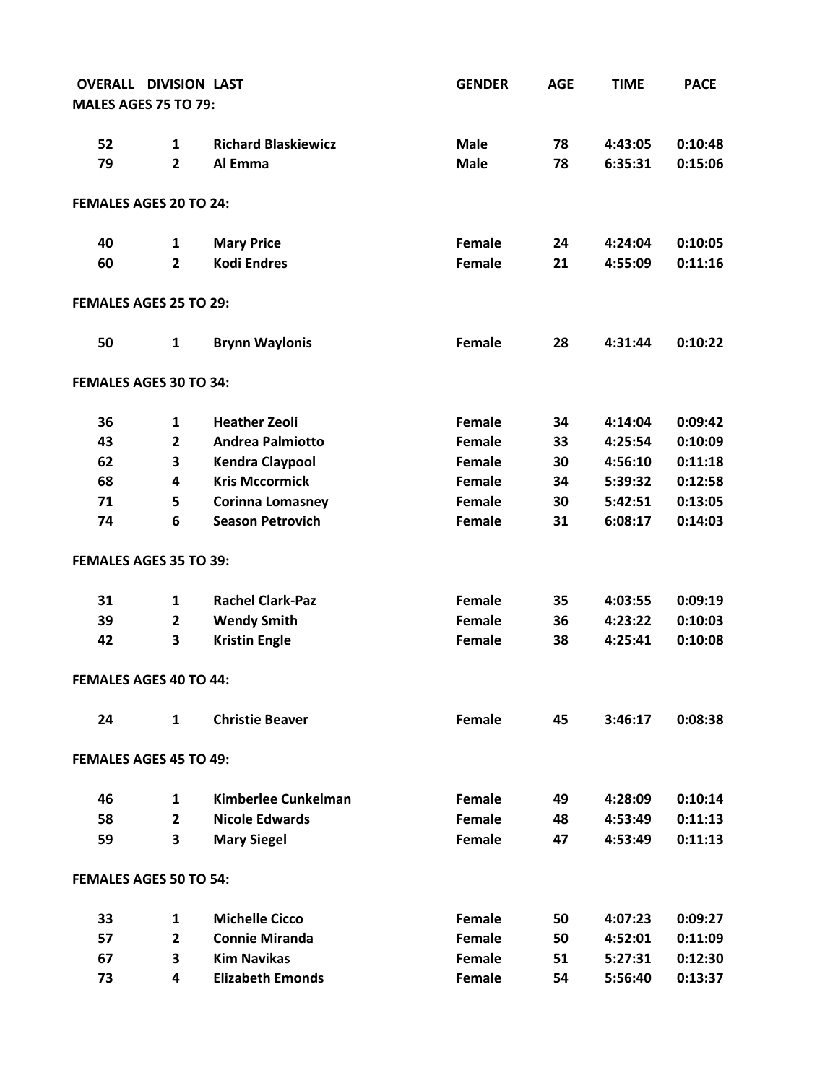| <b>OVERALL DIVISION LAST</b>  |                         |                            | <b>GENDER</b> | <b>AGE</b> | <b>TIME</b> | <b>PACE</b> |
|-------------------------------|-------------------------|----------------------------|---------------|------------|-------------|-------------|
| <b>MALES AGES 75 TO 79:</b>   |                         |                            |               |            |             |             |
|                               |                         |                            |               |            |             |             |
| 52                            | 1                       | <b>Richard Blaskiewicz</b> | <b>Male</b>   | 78         | 4:43:05     | 0:10:48     |
| 79                            | $\overline{2}$          | Al Emma                    | <b>Male</b>   | 78         | 6:35:31     | 0:15:06     |
| FEMALES AGES 20 TO 24:        |                         |                            |               |            |             |             |
| 40                            | 1                       | <b>Mary Price</b>          | Female        | 24         | 4:24:04     | 0:10:05     |
| 60                            | $\mathbf{2}$            | <b>Kodi Endres</b>         | Female        | 21         | 4:55:09     | 0:11:16     |
| <b>FEMALES AGES 25 TO 29:</b> |                         |                            |               |            |             |             |
| 50                            | $\mathbf{1}$            | <b>Brynn Waylonis</b>      | Female        | 28         | 4:31:44     | 0:10:22     |
| FEMALES AGES 30 TO 34:        |                         |                            |               |            |             |             |
| 36                            | $\mathbf{1}$            | <b>Heather Zeoli</b>       | Female        | 34         | 4:14:04     | 0:09:42     |
| 43                            | $\overline{2}$          | <b>Andrea Palmiotto</b>    | Female        | 33         | 4:25:54     | 0:10:09     |
| 62                            | 3                       | <b>Kendra Claypool</b>     | Female        | 30         | 4:56:10     | 0:11:18     |
| 68                            | $\overline{\mathbf{4}}$ | <b>Kris Mccormick</b>      | Female        | 34         | 5:39:32     | 0:12:58     |
| 71                            | 5                       | <b>Corinna Lomasney</b>    | Female        | 30         | 5:42:51     | 0:13:05     |
| 74                            | 6                       | <b>Season Petrovich</b>    | Female        | 31         | 6:08:17     | 0:14:03     |
| FEMALES AGES 35 TO 39:        |                         |                            |               |            |             |             |
| 31                            | $\mathbf{1}$            | <b>Rachel Clark-Paz</b>    | Female        | 35         | 4:03:55     | 0:09:19     |
| 39                            | $\overline{2}$          | <b>Wendy Smith</b>         | Female        | 36         | 4:23:22     | 0:10:03     |
| 42                            | 3                       | <b>Kristin Engle</b>       | Female        | 38         | 4:25:41     | 0:10:08     |
| FEMALES AGES 40 TO 44:        |                         |                            |               |            |             |             |
| 24                            | $\mathbf{1}$            | <b>Christie Beaver</b>     | Female        | 45         | 3:46:17     | 0:08:38     |
| <b>FEMALES AGES 45 TO 49:</b> |                         |                            |               |            |             |             |
| 46                            | 1                       | Kimberlee Cunkelman        | Female        | 49         | 4:28:09     | 0:10:14     |
| 58                            | $\overline{2}$          | <b>Nicole Edwards</b>      | Female        | 48         | 4:53:49     | 0:11:13     |
| 59                            | 3                       | <b>Mary Siegel</b>         | Female        | 47         | 4:53:49     | 0:11:13     |
| FEMALES AGES 50 TO 54:        |                         |                            |               |            |             |             |
| 33                            | 1                       | <b>Michelle Cicco</b>      | Female        | 50         | 4:07:23     | 0:09:27     |
| 57                            | $\overline{2}$          | <b>Connie Miranda</b>      | Female        | 50         | 4:52:01     | 0:11:09     |
| 67                            | 3                       | <b>Kim Navikas</b>         | Female        | 51         | 5:27:31     | 0:12:30     |
| 73                            | 4                       | <b>Elizabeth Emonds</b>    | Female        | 54         | 5:56:40     | 0:13:37     |
|                               |                         |                            |               |            |             |             |